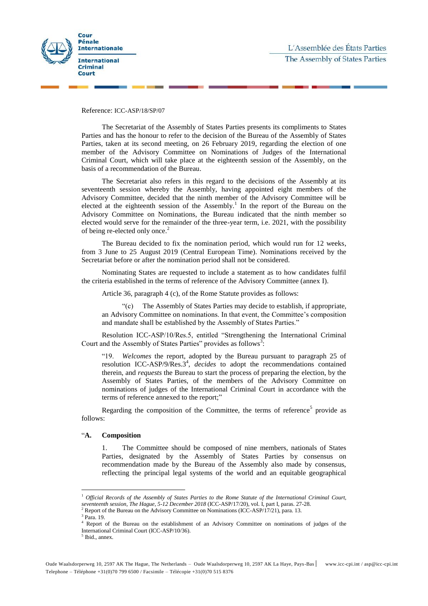

Reference: ICC-ASP/18/SP/07

The Secretariat of the Assembly of States Parties presents its compliments to States Parties and has the honour to refer to the decision of the Bureau of the Assembly of States Parties, taken at its second meeting, on 26 February 2019, regarding the election of one member of the Advisory Committee on Nominations of Judges of the International Criminal Court, which will take place at the eighteenth session of the Assembly, on the basis of a recommendation of the Bureau.

The Secretariat also refers in this regard to the decisions of the Assembly at its seventeenth session whereby the Assembly, having appointed eight members of the Advisory Committee, decided that the ninth member of the Advisory Committee will be elected at the eighteenth session of the Assembly.<sup>1</sup> In the report of the Bureau on the Advisory Committee on Nominations, the Bureau indicated that the ninth member so elected would serve for the remainder of the three-year term, i.e. 2021, with the possibility of being re-elected only once.<sup>2</sup>

The Bureau decided to fix the nomination period, which would run for 12 weeks, from 3 June to 25 August 2019 (Central European Time). Nominations received by the Secretariat before or after the nomination period shall not be considered.

Nominating States are requested to include a statement as to how candidates fulfil the criteria established in the terms of reference of the Advisory Committee (annex I).

Article 36, paragraph 4 (c), of the Rome Statute provides as follows:

"(c) The Assembly of States Parties may decide to establish, if appropriate, an Advisory Committee on nominations. In that event, the Committee's composition and mandate shall be established by the Assembly of States Parties."

Resolution ICC-ASP/10/Res.5, entitled "Strengthening the International Criminal Court and the Assembly of States Parties" provides as follows<sup>3</sup>:

"19. *Welcomes* the report, adopted by the Bureau pursuant to paragraph 25 of resolution ICC-ASP/9/Res.3<sup>4</sup>, *decides* to adopt the recommendations contained therein, and *requests* the Bureau to start the process of preparing the election, by the Assembly of States Parties, of the members of the Advisory Committee on nominations of judges of the International Criminal Court in accordance with the terms of reference annexed to the report;"

Regarding the composition of the Committee, the terms of reference<sup>5</sup> provide as follows:

#### "**A. Composition**

1. The Committee should be composed of nine members, nationals of States Parties, designated by the Assembly of States Parties by consensus on recommendation made by the Bureau of the Assembly also made by consensus, reflecting the principal legal systems of the world and an equitable geographical

 $\overline{a}$ 

<sup>1</sup> *Official Records of the Assembly of States Parties to the Rome Statute of the International Criminal Court, seventeenth session, The Hague, 5-12 December 2018* (ICC-ASP/17/20), vol. I, part I, paras. 27-28.

 $2^2$  Report of the Bureau on the Advisory Committee on Nominations (ICC-ASP/17/21), para. 13.

<sup>3</sup> Para. 19.

<sup>4</sup> Report of the Bureau on the establishment of an Advisory Committee on nominations of judges of the International Criminal Court (ICC-ASP/10/36).

<sup>5</sup> Ibid., annex.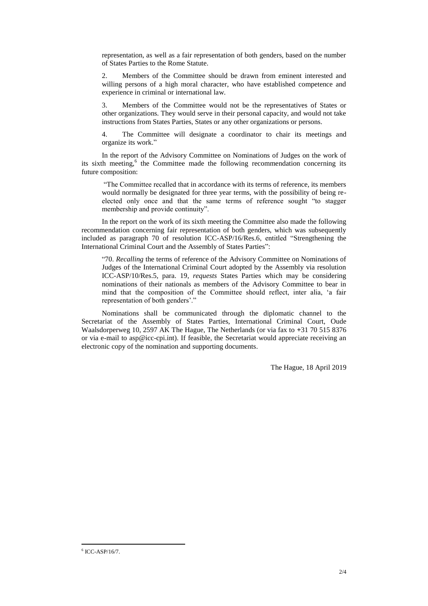representation, as well as a fair representation of both genders, based on the number of States Parties to the Rome Statute.

2. Members of the Committee should be drawn from eminent interested and willing persons of a high moral character, who have established competence and experience in criminal or international law.

3. Members of the Committee would not be the representatives of States or other organizations. They would serve in their personal capacity, and would not take instructions from States Parties, States or any other organizations or persons.

4. The Committee will designate a coordinator to chair its meetings and organize its work."

In the report of the Advisory Committee on Nominations of Judges on the work of its sixth meeting,<sup>6</sup> the Committee made the following recommendation concerning its future composition:

"The Committee recalled that in accordance with its terms of reference, its members would normally be designated for three year terms, with the possibility of being reelected only once and that the same terms of reference sought "to stagger membership and provide continuity".

In the report on the work of its sixth meeting the Committee also made the following recommendation concerning fair representation of both genders, which was subsequently included as paragraph 70 of resolution ICC-ASP/16/Res.6, entitled "Strengthening the International Criminal Court and the Assembly of States Parties":

"70. *Recalling* the terms of reference of the Advisory Committee on Nominations of Judges of the International Criminal Court adopted by the Assembly via resolution ICC-ASP/10/Res.5, para. 19, *requests* States Parties which may be considering nominations of their nationals as members of the Advisory Committee to bear in mind that the composition of the Committee should reflect, inter alia, 'a fair representation of both genders'."

Nominations shall be communicated through the diplomatic channel to the Secretariat of the Assembly of States Parties, International Criminal Court, Oude Waalsdorperweg 10, 2597 AK The Hague, The Netherlands (or via fax to **+**31 70 515 8376 or via e-mail to [asp@icc-cpi.int\)](mailto:asp@icc-cpi.int). If feasible, the Secretariat would appreciate receiving an electronic copy of the nomination and supporting documents.

The Hague, 18 April 2019

 $\overline{a}$  $6$  ICC-ASP/16/7.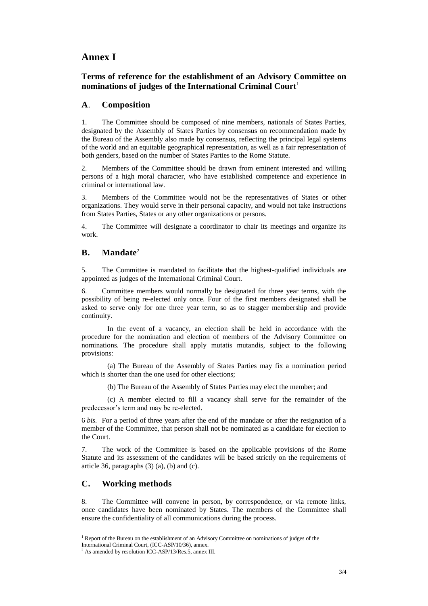# **Annex I**

## **Terms of reference for the establishment of an Advisory Committee on nominations of judges of the International Criminal Court**<sup>1</sup>

### **A**. **Composition**

1. The Committee should be composed of nine members, nationals of States Parties, designated by the Assembly of States Parties by consensus on recommendation made by the Bureau of the Assembly also made by consensus, reflecting the principal legal systems of the world and an equitable geographical representation, as well as a fair representation of both genders, based on the number of States Parties to the Rome Statute.

2. Members of the Committee should be drawn from eminent interested and willing persons of a high moral character, who have established competence and experience in criminal or international law.

3. Members of the Committee would not be the representatives of States or other organizations. They would serve in their personal capacity, and would not take instructions from States Parties, States or any other organizations or persons.

4. The Committee will designate a coordinator to chair its meetings and organize its work.

### **B. Mandate**<sup>2</sup>

5. The Committee is mandated to facilitate that the highest-qualified individuals are appointed as judges of the International Criminal Court.

6. Committee members would normally be designated for three year terms, with the possibility of being re-elected only once. Four of the first members designated shall be asked to serve only for one three year term, so as to stagger membership and provide continuity.

In the event of a vacancy, an election shall be held in accordance with the procedure for the nomination and election of members of the Advisory Committee on nominations. The procedure shall apply mutatis mutandis, subject to the following provisions:

(a) The Bureau of the Assembly of States Parties may fix a nomination period which is shorter than the one used for other elections:

(b) The Bureau of the Assembly of States Parties may elect the member; and

(c) A member elected to fill a vacancy shall serve for the remainder of the predecessor's term and may be re-elected.

6 *bis.* For a period of three years after the end of the mandate or after the resignation of a member of the Committee, that person shall not be nominated as a candidate for election to the Court.

7. The work of the Committee is based on the applicable provisions of the Rome Statute and its assessment of the candidates will be based strictly on the requirements of article 36, paragraphs  $(3)$   $(a)$ ,  $(b)$  and  $(c)$ .

## **C. Working methods**

8. The Committee will convene in person, by correspondence, or via remote links, once candidates have been nominated by States. The members of the Committee shall ensure the confidentiality of all communications during the process.

 $\overline{a}$ <sup>1</sup> Report of the Bureau on the establishment of an Advisory Committee on nominations of judges of the

International Criminal Court, (ICC-ASP/10/36), annex.

 $^{2}$  As amended by resolution ICC-ASP/13/Res.5, annex III.